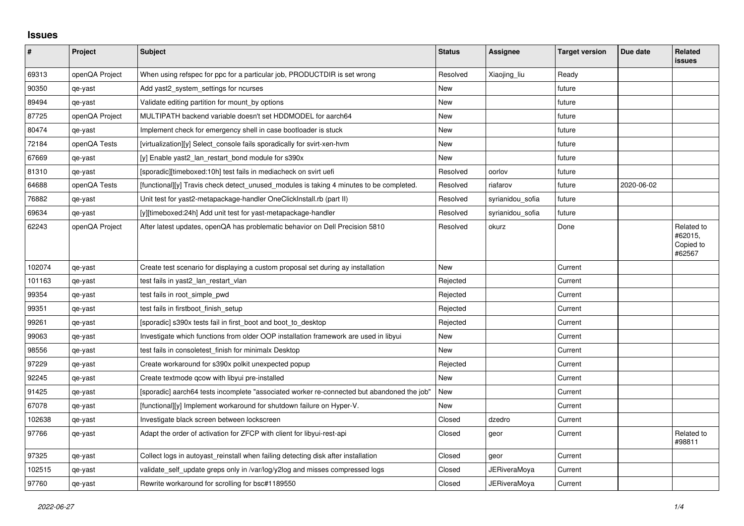## **Issues**

| $\pmb{\#}$ | Project        | Subject                                                                                    | <b>Status</b> | Assignee            | <b>Target version</b> | Due date   | <b>Related</b><br><b>issues</b>              |
|------------|----------------|--------------------------------------------------------------------------------------------|---------------|---------------------|-----------------------|------------|----------------------------------------------|
| 69313      | openQA Project | When using refspec for ppc for a particular job, PRODUCTDIR is set wrong                   | Resolved      | Xiaojing_liu        | Ready                 |            |                                              |
| 90350      | qe-yast        | Add yast2_system_settings for ncurses                                                      | New           |                     | future                |            |                                              |
| 89494      | qe-yast        | Validate editing partition for mount by options                                            | <b>New</b>    |                     | future                |            |                                              |
| 87725      | openQA Project | MULTIPATH backend variable doesn't set HDDMODEL for aarch64                                | New           |                     | future                |            |                                              |
| 80474      | qe-yast        | Implement check for emergency shell in case bootloader is stuck                            | New           |                     | future                |            |                                              |
| 72184      | openQA Tests   | [virtualization][y] Select_console fails sporadically for svirt-xen-hvm                    | New           |                     | future                |            |                                              |
| 67669      | qe-yast        | [y] Enable yast2 lan restart bond module for s390x                                         | New           |                     | future                |            |                                              |
| 81310      | qe-yast        | [sporadic][timeboxed:10h] test fails in mediacheck on svirt uefi                           | Resolved      | oorlov              | future                |            |                                              |
| 64688      | openQA Tests   | [functional][y] Travis check detect unused modules is taking 4 minutes to be completed.    | Resolved      | riafarov            | future                | 2020-06-02 |                                              |
| 76882      | qe-yast        | Unit test for yast2-metapackage-handler OneClickInstall.rb (part II)                       | Resolved      | syrianidou_sofia    | future                |            |                                              |
| 69634      | qe-yast        | [y][timeboxed:24h] Add unit test for yast-metapackage-handler                              | Resolved      | syrianidou sofia    | future                |            |                                              |
| 62243      | openQA Project | After latest updates, openQA has problematic behavior on Dell Precision 5810               | Resolved      | okurz               | Done                  |            | Related to<br>#62015,<br>Copied to<br>#62567 |
| 102074     | qe-yast        | Create test scenario for displaying a custom proposal set during ay installation           | <b>New</b>    |                     | Current               |            |                                              |
| 101163     | qe-yast        | test fails in yast2 lan restart vlan                                                       | Rejected      |                     | Current               |            |                                              |
| 99354      | qe-yast        | test fails in root_simple_pwd                                                              | Rejected      |                     | Current               |            |                                              |
| 99351      | qe-yast        | test fails in firstboot finish setup                                                       | Rejected      |                     | Current               |            |                                              |
| 99261      | qe-yast        | [sporadic] s390x tests fail in first_boot and boot_to_desktop                              | Rejected      |                     | Current               |            |                                              |
| 99063      | qe-yast        | Investigate which functions from older OOP installation framework are used in libyui       | New           |                     | Current               |            |                                              |
| 98556      | qe-yast        | test fails in consoletest finish for minimalx Desktop                                      | New           |                     | Current               |            |                                              |
| 97229      | qe-yast        | Create workaround for s390x polkit unexpected popup                                        | Rejected      |                     | Current               |            |                                              |
| 92245      | qe-yast        | Create textmode gcow with libyui pre-installed                                             | <b>New</b>    |                     | Current               |            |                                              |
| 91425      | qe-yast        | [sporadic] aarch64 tests incomplete "associated worker re-connected but abandoned the job" | New           |                     | Current               |            |                                              |
| 67078      | qe-yast        | [functional][y] Implement workaround for shutdown failure on Hyper-V.                      | New           |                     | Current               |            |                                              |
| 102638     | qe-yast        | Investigate black screen between lockscreen                                                | Closed        | dzedro              | Current               |            |                                              |
| 97766      | qe-yast        | Adapt the order of activation for ZFCP with client for libyui-rest-api                     | Closed        | geor                | Current               |            | Related to<br>#98811                         |
| 97325      | qe-yast        | Collect logs in autoyast reinstall when failing detecting disk after installation          | Closed        | geor                | Current               |            |                                              |
| 102515     | qe-yast        | validate_self_update greps only in /var/log/y2log and misses compressed logs               | Closed        | JERiveraMoya        | Current               |            |                                              |
| 97760      | qe-yast        | Rewrite workaround for scrolling for bsc#1189550                                           | Closed        | <b>JERiveraMoya</b> | Current               |            |                                              |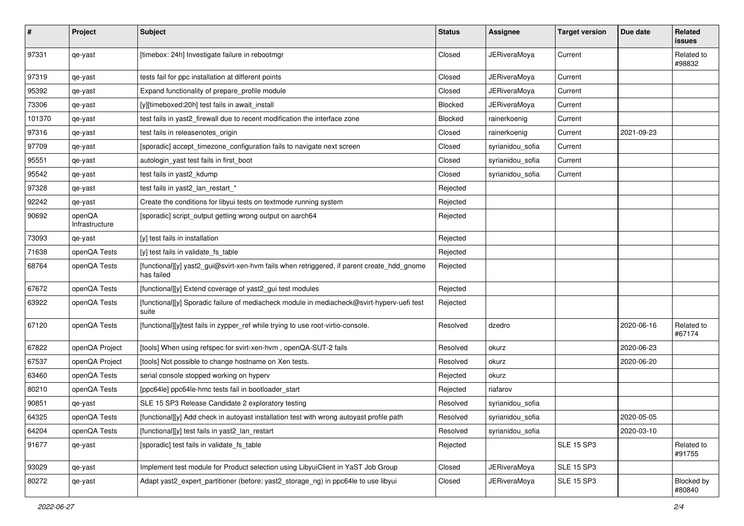| #      | Project                  | <b>Subject</b>                                                                                           | <b>Status</b>  | Assignee            | <b>Target version</b> | Due date   | Related<br>issues    |
|--------|--------------------------|----------------------------------------------------------------------------------------------------------|----------------|---------------------|-----------------------|------------|----------------------|
| 97331  | qe-yast                  | [timebox: 24h] Investigate failure in rebootmgr                                                          | Closed         | <b>JERiveraMoya</b> | Current               |            | Related to<br>#98832 |
| 97319  | qe-yast                  | tests fail for ppc installation at different points                                                      | Closed         | JERiveraMoya        | Current               |            |                      |
| 95392  | qe-yast                  | Expand functionality of prepare_profile module                                                           | Closed         | <b>JERiveraMoya</b> | Current               |            |                      |
| 73306  | qe-yast                  | [y][timeboxed:20h] test fails in await_install                                                           | <b>Blocked</b> | <b>JERiveraMoya</b> | Current               |            |                      |
| 101370 | qe-yast                  | test fails in yast2_firewall due to recent modification the interface zone                               | Blocked        | rainerkoenig        | Current               |            |                      |
| 97316  | qe-yast                  | test fails in releasenotes_origin                                                                        | Closed         | rainerkoenig        | Current               | 2021-09-23 |                      |
| 97709  | qe-yast                  | [sporadic] accept_timezone_configuration fails to navigate next screen                                   | Closed         | syrianidou_sofia    | Current               |            |                      |
| 95551  | qe-yast                  | autologin_yast test fails in first_boot                                                                  | Closed         | syrianidou_sofia    | Current               |            |                      |
| 95542  | qe-yast                  | test fails in yast2_kdump                                                                                | Closed         | syrianidou_sofia    | Current               |            |                      |
| 97328  | qe-yast                  | test fails in yast2_lan_restart_*                                                                        | Rejected       |                     |                       |            |                      |
| 92242  | qe-yast                  | Create the conditions for libyui tests on textmode running system                                        | Rejected       |                     |                       |            |                      |
| 90692  | openQA<br>Infrastructure | [sporadic] script_output getting wrong output on aarch64                                                 | Rejected       |                     |                       |            |                      |
| 73093  | qe-yast                  | [y] test fails in installation                                                                           | Rejected       |                     |                       |            |                      |
| 71638  | openQA Tests             | [y] test fails in validate_fs_table                                                                      | Rejected       |                     |                       |            |                      |
| 68764  | openQA Tests             | [functional][y] yast2_gui@svirt-xen-hvm fails when retriggered, if parent create_hdd_gnome<br>has failed | Rejected       |                     |                       |            |                      |
| 67672  | openQA Tests             | [functional][y] Extend coverage of yast2_gui test modules                                                | Rejected       |                     |                       |            |                      |
| 63922  | openQA Tests             | [functional][y] Sporadic failure of mediacheck module in mediacheck@svirt-hyperv-uefi test<br>suite      | Rejected       |                     |                       |            |                      |
| 67120  | openQA Tests             | [functional][y]test fails in zypper_ref while trying to use root-virtio-console.                         | Resolved       | dzedro              |                       | 2020-06-16 | Related to<br>#67174 |
| 67822  | openQA Project           | [tools] When using refspec for svirt-xen-hvm, openQA-SUT-2 fails                                         | Resolved       | okurz               |                       | 2020-06-23 |                      |
| 67537  | openQA Project           | [tools] Not possible to change hostname on Xen tests.                                                    | Resolved       | okurz               |                       | 2020-06-20 |                      |
| 63460  | openQA Tests             | serial console stopped working on hyperv                                                                 | Rejected       | okurz               |                       |            |                      |
| 80210  | openQA Tests             | [ppc64le] ppc64le-hmc tests fail in bootloader_start                                                     | Rejected       | riafarov            |                       |            |                      |
| 90851  | qe-yast                  | SLE 15 SP3 Release Candidate 2 exploratory testing                                                       | Resolved       | syrianidou_sofia    |                       |            |                      |
| 64325  | openQA Tests             | [functional][y] Add check in autoyast installation test with wrong autoyast profile path                 | Resolved       | syrianidou sofia    |                       | 2020-05-05 |                      |
| 64204  | openQA Tests             | [functional][y] test fails in yast2_lan_restart                                                          | Resolved       | syrianidou_sofia    |                       | 2020-03-10 |                      |
| 91677  | qe-yast                  | [sporadic] test fails in validate_fs_table                                                               | Rejected       |                     | <b>SLE 15 SP3</b>     |            | Related to<br>#91755 |
| 93029  | qe-yast                  | Implement test module for Product selection using LibyuiClient in YaST Job Group                         | Closed         | <b>JERiveraMoya</b> | <b>SLE 15 SP3</b>     |            |                      |
| 80272  | qe-yast                  | Adapt yast2_expert_partitioner (before: yast2_storage_ng) in ppc64le to use libyui                       | Closed         | <b>JERiveraMoya</b> | <b>SLE 15 SP3</b>     |            | Blocked by<br>#80840 |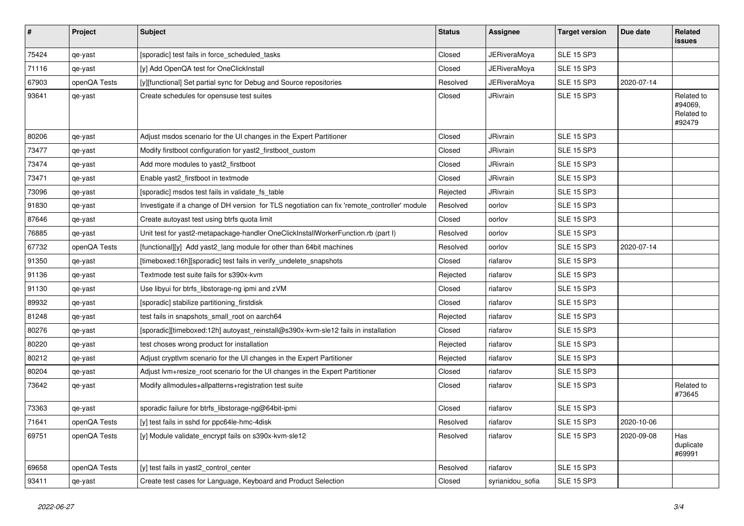| $\vert$ # | Project      | <b>Subject</b>                                                                               | <b>Status</b> | <b>Assignee</b>     | <b>Target version</b> | Due date   | <b>Related</b><br><b>issues</b>               |
|-----------|--------------|----------------------------------------------------------------------------------------------|---------------|---------------------|-----------------------|------------|-----------------------------------------------|
| 75424     | qe-yast      | [sporadic] test fails in force_scheduled_tasks                                               | Closed        | <b>JERiveraMoya</b> | <b>SLE 15 SP3</b>     |            |                                               |
| 71116     | qe-yast      | [y] Add OpenQA test for OneClickInstall                                                      | Closed        | <b>JERiveraMoya</b> | <b>SLE 15 SP3</b>     |            |                                               |
| 67903     | openQA Tests | [y][functional] Set partial sync for Debug and Source repositories                           | Resolved      | <b>JERiveraMoya</b> | <b>SLE 15 SP3</b>     | 2020-07-14 |                                               |
| 93641     | qe-yast      | Create schedules for opensuse test suites                                                    | Closed        | <b>JRivrain</b>     | <b>SLE 15 SP3</b>     |            | Related to<br>#94069,<br>Related to<br>#92479 |
| 80206     | qe-yast      | Adjust msdos scenario for the UI changes in the Expert Partitioner                           | Closed        | <b>JRivrain</b>     | <b>SLE 15 SP3</b>     |            |                                               |
| 73477     | qe-yast      | Modify firstboot configuration for yast2_firstboot_custom                                    | Closed        | <b>JRivrain</b>     | <b>SLE 15 SP3</b>     |            |                                               |
| 73474     | qe-yast      | Add more modules to yast2 firstboot                                                          | Closed        | <b>JRivrain</b>     | <b>SLE 15 SP3</b>     |            |                                               |
| 73471     | qe-yast      | Enable yast2_firstboot in textmode                                                           | Closed        | <b>JRivrain</b>     | <b>SLE 15 SP3</b>     |            |                                               |
| 73096     | qe-yast      | [sporadic] msdos test fails in validate_fs_table                                             | Rejected      | JRivrain            | <b>SLE 15 SP3</b>     |            |                                               |
| 91830     | qe-yast      | Investigate if a change of DH version for TLS negotiation can fix 'remote_controller' module | Resolved      | oorlov              | <b>SLE 15 SP3</b>     |            |                                               |
| 87646     | qe-yast      | Create autoyast test using btrfs quota limit                                                 | Closed        | oorlov              | <b>SLE 15 SP3</b>     |            |                                               |
| 76885     | qe-yast      | Unit test for yast2-metapackage-handler OneClickInstallWorkerFunction.rb (part I)            | Resolved      | oorlov              | <b>SLE 15 SP3</b>     |            |                                               |
| 67732     | openQA Tests | [functional][y] Add yast2 lang module for other than 64bit machines                          | Resolved      | oorlov              | <b>SLE 15 SP3</b>     | 2020-07-14 |                                               |
| 91350     | qe-yast      | [timeboxed:16h][sporadic] test fails in verify undelete snapshots                            | Closed        | riafarov            | <b>SLE 15 SP3</b>     |            |                                               |
| 91136     | qe-yast      | Textmode test suite fails for s390x-kvm                                                      | Rejected      | riafarov            | <b>SLE 15 SP3</b>     |            |                                               |
| 91130     | qe-yast      | Use libyui for btrfs libstorage-ng ipmi and zVM                                              | Closed        | riafarov            | <b>SLE 15 SP3</b>     |            |                                               |
| 89932     | qe-yast      | [sporadic] stabilize partitioning firstdisk                                                  | Closed        | riafarov            | <b>SLE 15 SP3</b>     |            |                                               |
| 81248     | qe-yast      | test fails in snapshots small root on aarch64                                                | Rejected      | riafarov            | <b>SLE 15 SP3</b>     |            |                                               |
| 80276     | qe-yast      | [sporadic][timeboxed:12h] autoyast reinstall@s390x-kvm-sle12 fails in installation           | Closed        | riafarov            | <b>SLE 15 SP3</b>     |            |                                               |
| 80220     | qe-yast      | test choses wrong product for installation                                                   | Rejected      | riafarov            | <b>SLE 15 SP3</b>     |            |                                               |
| 80212     | qe-yast      | Adjust cryptivm scenario for the UI changes in the Expert Partitioner                        | Rejected      | riafarov            | <b>SLE 15 SP3</b>     |            |                                               |
| 80204     | qe-yast      | Adjust lvm+resize_root scenario for the UI changes in the Expert Partitioner                 | Closed        | riafarov            | <b>SLE 15 SP3</b>     |            |                                               |
| 73642     | qe-yast      | Modify allmodules+allpatterns+registration test suite                                        | Closed        | riafarov            | <b>SLE 15 SP3</b>     |            | Related to<br>#73645                          |
| 73363     | qe-yast      | sporadic failure for btrfs_libstorage-ng@64bit-ipmi                                          | Closed        | riafarov            | <b>SLE 15 SP3</b>     |            |                                               |
| 71641     | openQA Tests | [y] test fails in sshd for ppc64le-hmc-4disk                                                 | Resolved      | riafarov            | <b>SLE 15 SP3</b>     | 2020-10-06 |                                               |
| 69751     | openQA Tests | [y] Module validate_encrypt fails on s390x-kvm-sle12                                         | Resolved      | riafarov            | <b>SLE 15 SP3</b>     | 2020-09-08 | Has<br>duplicate<br>#69991                    |
| 69658     | openQA Tests | [y] test fails in yast2_control_center                                                       | Resolved      | riafarov            | <b>SLE 15 SP3</b>     |            |                                               |
| 93411     | qe-yast      | Create test cases for Language, Keyboard and Product Selection                               | Closed        | syrianidou sofia    | <b>SLE 15 SP3</b>     |            |                                               |